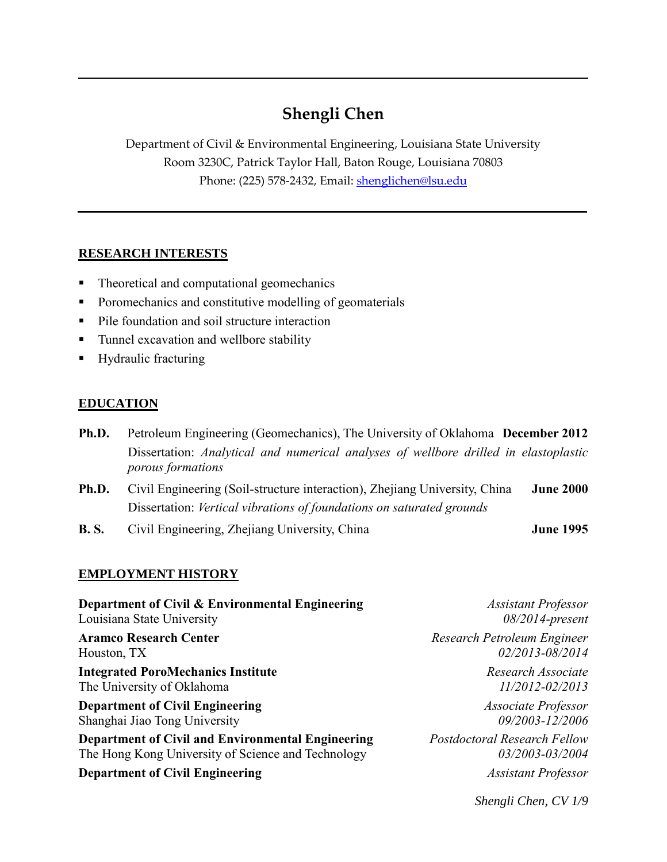# **Shengli Chen**

Department of Civil & Environmental Engineering, Louisiana State University Room 3230C, Patrick Taylor Hall, Baton Rouge, Louisiana 70803 Phone: (225) 578-2432, Email: [shenglichen@lsu.edu](mailto:shenglichen@lsu.edu)

#### **RESEARCH INTERESTS**

- Theoretical and computational geomechanics
- Poromechanics and constitutive modelling of geomaterials
- Pile foundation and soil structure interaction
- Tunnel excavation and wellbore stability
- **Hydraulic fracturing**

# **EDUCATION**

- **Ph.D.** Petroleum Engineering (Geomechanics), The University of Oklahoma **December 2012** Dissertation: *Analytical and numerical analyses of wellbore drilled in elastoplastic porous formations*
- **Ph.D.** Civil Engineering (Soil-structure interaction), Zhejiang University, China **June 2000** Dissertation: *Vertical vibrations of foundations on saturated grounds*
- **B. S.** Civil Engineering, Zhejiang University, China **June 1995**

# **EMPLOYMENT HISTORY**

| Department of Civil & Environmental Engineering          | <b>Assistant Professor</b>          |
|----------------------------------------------------------|-------------------------------------|
| Louisiana State University                               | $08/2014$ -present                  |
| <b>Aramco Research Center</b>                            | Research Petroleum Engineer         |
| Houston, TX                                              | 02/2013-08/2014                     |
| <b>Integrated PoroMechanics Institute</b>                | Research Associate                  |
| The University of Oklahoma                               | $11/2012 - 02/2013$                 |
| <b>Department of Civil Engineering</b>                   | Associate Professor                 |
| Shanghai Jiao Tong University                            | 09/2003-12/2006                     |
| <b>Department of Civil and Environmental Engineering</b> | <b>Postdoctoral Research Fellow</b> |
| The Hong Kong University of Science and Technology       | 03/2003-03/2004                     |
| <b>Department of Civil Engineering</b>                   | <b>Assistant Professor</b>          |

*Shengli Chen, CV 1/9*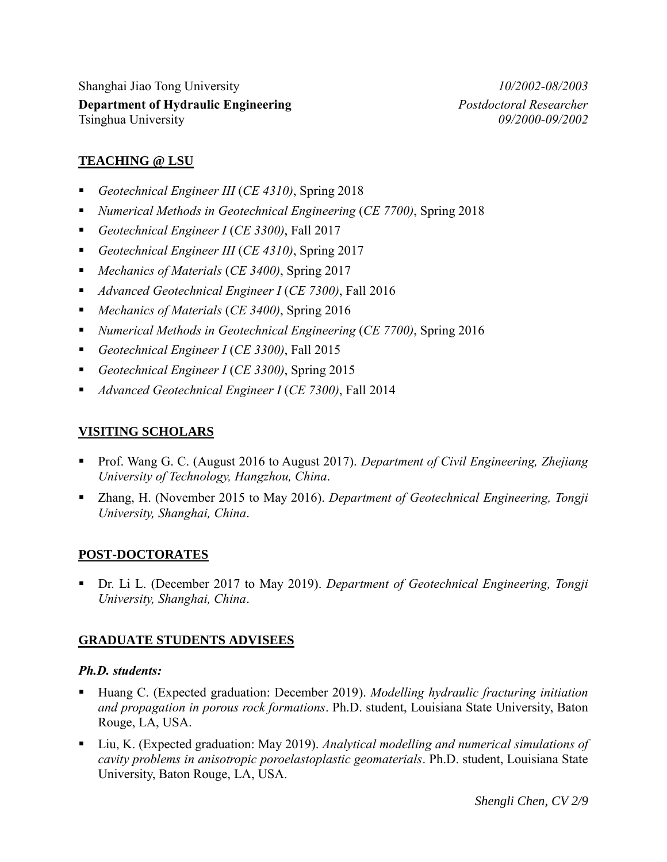Shanghai Jiao Tong University *10/2002-08/2003*  **Department of Hydraulic Engineering** *Postdoctoral Researcher* Tsinghua University *09/2000-09/2002* 

### **TEACHING @ LSU**

- *Geotechnical Engineer III* (*CE 4310)*, Spring 2018
- *Numerical Methods in Geotechnical Engineering* (*CE 7700)*, Spring 2018
- *Geotechnical Engineer I* (*CE 3300)*, Fall 2017
- *Geotechnical Engineer III* (*CE 4310)*, Spring 2017
- *Mechanics of Materials* (*CE 3400)*, Spring 2017
- *Advanced Geotechnical Engineer I* (*CE 7300)*, Fall 2016
- *Mechanics of Materials* (*CE 3400)*, Spring 2016
- *Numerical Methods in Geotechnical Engineering* (*CE 7700)*, Spring 2016
- *Geotechnical Engineer I* (*CE 3300)*, Fall 2015
- *Geotechnical Engineer I* (*CE 3300)*, Spring 2015
- *Advanced Geotechnical Engineer I* (*CE 7300)*, Fall 2014

#### **VISITING SCHOLARS**

- Prof. Wang G. C. (August 2016 to August 2017). *Department of Civil Engineering, Zhejiang University of Technology, Hangzhou, China*.
- Zhang, H. (November 2015 to May 2016). *Department of Geotechnical Engineering, Tongji University, Shanghai, China*.

#### **POST-DOCTORATES**

 Dr. Li L. (December 2017 to May 2019). *Department of Geotechnical Engineering, Tongji University, Shanghai, China*.

#### **GRADUATE STUDENTS ADVISEES**

#### *Ph.D. students:*

- Huang C. (Expected graduation: December 2019). *Modelling hydraulic fracturing initiation and propagation in porous rock formations*. Ph.D. student, Louisiana State University, Baton Rouge, LA, USA.
- Liu, K. (Expected graduation: May 2019). *Analytical modelling and numerical simulations of cavity problems in anisotropic poroelastoplastic geomaterials*. Ph.D. student, Louisiana State University, Baton Rouge, LA, USA.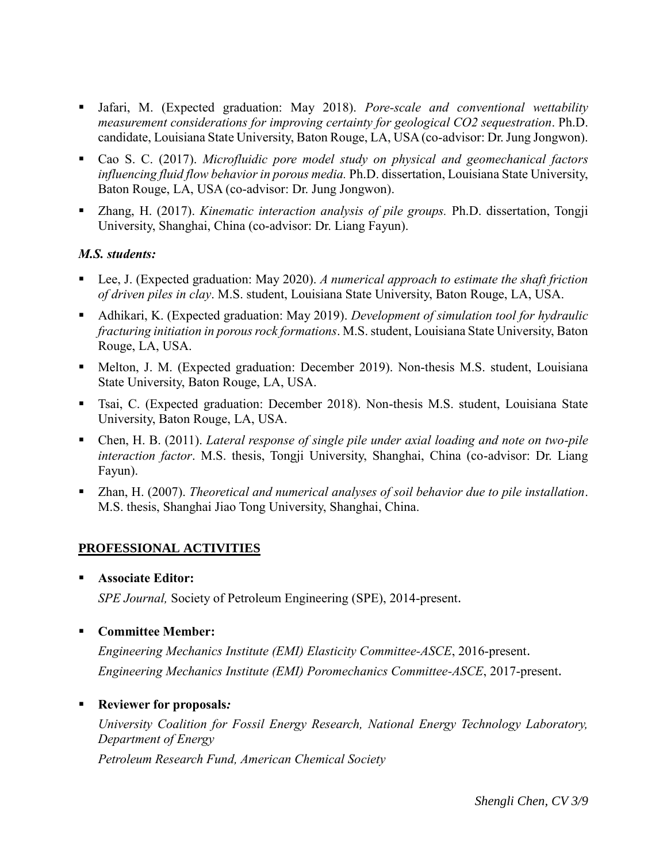- Jafari, M. (Expected graduation: May 2018). *Pore-scale and conventional wettability measurement considerations for improving certainty for geological CO2 sequestration*. Ph.D. candidate, Louisiana State University, Baton Rouge, LA, USA (co-advisor: Dr. Jung Jongwon).
- Cao S. C. (2017). *Microfluidic pore model study on physical and geomechanical factors influencing fluid flow behavior in porous media.* Ph.D. dissertation, Louisiana State University, Baton Rouge, LA, USA (co-advisor: Dr. Jung Jongwon).
- Zhang, H. (2017). *Kinematic interaction analysis of pile groups.* Ph.D. dissertation, Tongji University, Shanghai, China (co-advisor: Dr. Liang Fayun).

# *M.S. students:*

- Lee, J. (Expected graduation: May 2020). *A numerical approach to estimate the shaft friction of driven piles in clay*. M.S. student, Louisiana State University, Baton Rouge, LA, USA.
- Adhikari, K. (Expected graduation: May 2019). *Development of simulation tool for hydraulic fracturing initiation in porous rock formations*. M.S. student, Louisiana State University, Baton Rouge, LA, USA.
- Melton, J. M. (Expected graduation: December 2019). Non-thesis M.S. student, Louisiana State University, Baton Rouge, LA, USA.
- Tsai, C. (Expected graduation: December 2018). Non-thesis M.S. student, Louisiana State University, Baton Rouge, LA, USA.
- Chen, H. B. (2011). *Lateral response of single pile under axial loading and note on two-pile interaction factor*. M.S. thesis, Tongji University, Shanghai, China (co-advisor: Dr. Liang Fayun).
- Zhan, H. (2007). *Theoretical and numerical analyses of soil behavior due to pile installation*. M.S. thesis, Shanghai Jiao Tong University, Shanghai, China.

# **PROFESSIONAL ACTIVITIES**

**Associate Editor:**

*SPE Journal,* Society of Petroleum Engineering (SPE), 2014-present.

**Committee Member:**

*Engineering Mechanics Institute (EMI) Elasticity Committee-ASCE*, 2016-present. *Engineering Mechanics Institute (EMI) Poromechanics Committee-ASCE*, 2017-present.

**Reviewer for proposals***:*

*University Coalition for Fossil Energy Research, National Energy Technology Laboratory, Department of Energy*

*Petroleum Research Fund, American Chemical Society*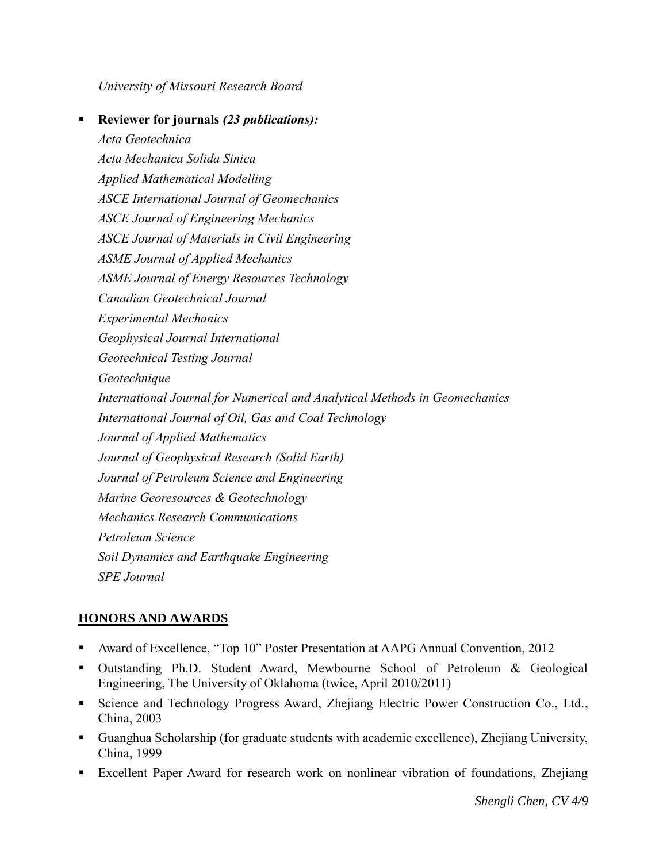*University of Missouri Research Board*

 **Reviewer for journals** *(23 publications): Acta Geotechnica Acta Mechanica Solida Sinica Applied Mathematical Modelling ASCE International Journal of Geomechanics ASCE Journal of Engineering Mechanics ASCE Journal of Materials in Civil Engineering ASME Journal of Applied Mechanics ASME Journal of Energy Resources Technology Canadian Geotechnical Journal Experimental Mechanics Geophysical Journal International Geotechnical Testing Journal Geotechnique International Journal for Numerical and Analytical Methods in Geomechanics International Journal of Oil, Gas and Coal Technology Journal of Applied Mathematics Journal of Geophysical Research (Solid Earth) Journal of Petroleum Science and Engineering Marine Georesources & Geotechnology Mechanics Research Communications Petroleum Science Soil Dynamics and Earthquake Engineering SPE Journal*

# **HONORS AND AWARDS**

- Award of Excellence, "Top 10" Poster Presentation at AAPG Annual Convention, 2012
- Outstanding Ph.D. Student Award, Mewbourne School of Petroleum & Geological Engineering, The University of Oklahoma (twice, April 2010/2011)
- **Science and Technology Progress Award, Zhejiang Electric Power Construction Co., Ltd.,** China, 2003
- Guanghua Scholarship (for graduate students with academic excellence), Zhejiang University, China, 1999
- Excellent Paper Award for research work on nonlinear vibration of foundations, Zhejiang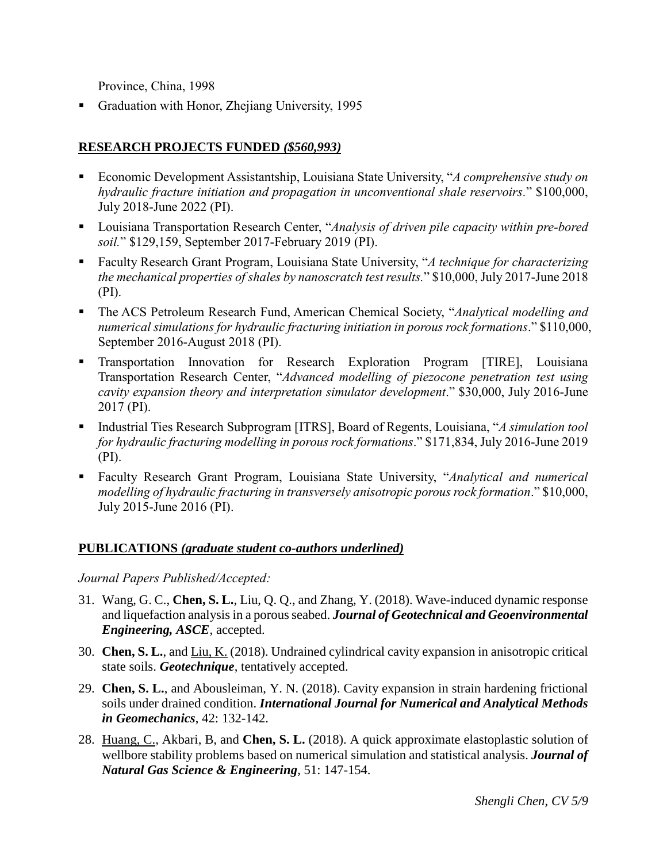Province, China, 1998

Graduation with Honor, Zhejiang University, 1995

# **RESEARCH PROJECTS FUNDED** *(\$560,993)*

- Economic Development Assistantship, Louisiana State University, "*A comprehensive study on hydraulic fracture initiation and propagation in unconventional shale reservoirs.*" \$100,000, July 2018-June 2022 (PI).
- Louisiana Transportation Research Center, "*Analysis of driven pile capacity within pre-bored soil.*" \$129,159, September 2017-February 2019 (PI).
- Faculty Research Grant Program, Louisiana State University, "*A technique for characterizing the mechanical properties of shales by nanoscratch test results.*" \$10,000, July 2017-June 2018 (PI).
- The ACS Petroleum Research Fund, American Chemical Society, "*Analytical modelling and numerical simulations for hydraulic fracturing initiation in porous rock formations*." \$110,000, September 2016-August 2018 (PI).
- **Transportation Innovation for Research Exploration Program [TIRE], Louisiana** Transportation Research Center, "*Advanced modelling of piezocone penetration test using cavity expansion theory and interpretation simulator development*." \$30,000, July 2016-June 2017 (PI).
- Industrial Ties Research Subprogram [ITRS], Board of Regents, Louisiana, "*A simulation tool for hydraulic fracturing modelling in porous rock formations*." \$171,834, July 2016-June 2019 (PI).
- Faculty Research Grant Program, Louisiana State University, "*Analytical and numerical modelling of hydraulic fracturing in transversely anisotropic porous rock formation*." \$10,000, July 2015-June 2016 (PI).

# **PUBLICATIONS** *(graduate student co-authors underlined)*

*Journal Papers Published/Accepted:*

- 31. Wang, G. C., **Chen, S. L.**, Liu, Q. Q., and Zhang, Y. (2018). Wave-induced dynamic response and liquefaction analysis in a porous seabed. *Journal of Geotechnical and Geoenvironmental Engineering, ASCE*, accepted.
- 30. **Chen, S. L.**, and Liu, K. (2018). Undrained cylindrical cavity expansion in anisotropic critical state soils. *Geotechnique*, tentatively accepted.
- 29. **Chen, S. L.**, and Abousleiman, Y. N. (2018). Cavity expansion in strain hardening frictional soils under drained condition. *International Journal for Numerical and Analytical Methods in Geomechanics*, 42: 132-142.
- 28. Huang, C., Akbari, B, and **Chen, S. L.** (2018). A quick approximate elastoplastic solution of wellbore stability problems based on numerical simulation and statistical analysis. *Journal of Natural Gas Science & Engineering*, 51: 147-154.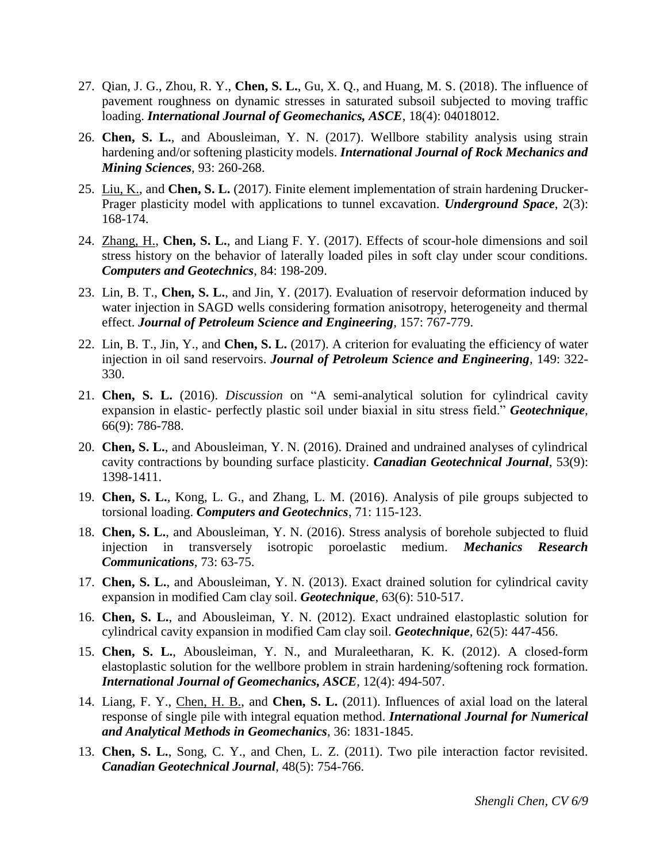- 27. Qian, J. G., Zhou, R. Y., **Chen, S. L.**, Gu, X. Q., and Huang, M. S. (2018). The influence of pavement roughness on dynamic stresses in saturated subsoil subjected to moving traffic loading. *International Journal of Geomechanics, ASCE*, 18(4): 04018012.
- 26. **Chen, S. L.**, and Abousleiman, Y. N. (2017). Wellbore stability analysis using strain hardening and/or softening plasticity models. *International Journal of Rock Mechanics and Mining Sciences*, 93: 260-268.
- 25. Liu, K., and **Chen, S. L.** (2017). Finite element implementation of strain hardening Drucker-Prager plasticity model with applications to tunnel excavation. *Underground Space*, 2(3): 168-174.
- 24. Zhang, H., **Chen, S. L.**, and Liang F. Y. (2017). Effects of scour-hole dimensions and soil stress history on the behavior of laterally loaded piles in soft clay under scour conditions. *Computers and Geotechnics*, 84: 198-209.
- 23. Lin, B. T., **Chen, S. L.**, and Jin, Y. (2017). Evaluation of reservoir deformation induced by water injection in SAGD wells considering formation anisotropy, heterogeneity and thermal effect. *Journal of Petroleum Science and Engineering*, 157: 767-779.
- 22. Lin, B. T., Jin, Y., and **Chen, S. L.** (2017). A criterion for evaluating the efficiency of water injection in oil sand reservoirs. *Journal of Petroleum Science and Engineering*, 149: 322- 330.
- 21. **Chen, S. L.** (2016). *Discussion* on "A semi-analytical solution for cylindrical cavity expansion in elastic- perfectly plastic soil under biaxial in situ stress field." *Geotechnique*, 66(9): 786-788.
- 20. **Chen, S. L.**, and Abousleiman, Y. N. (2016). Drained and undrained analyses of cylindrical cavity contractions by bounding surface plasticity. *Canadian Geotechnical Journal*, 53(9): 1398-1411.
- 19. **Chen, S. L.**, Kong, L. G., and Zhang, L. M. (2016). Analysis of pile groups subjected to torsional loading. *Computers and Geotechnics*, 71: 115-123.
- 18. **Chen, S. L.**, and Abousleiman, Y. N. (2016). Stress analysis of borehole subjected to fluid injection in transversely isotropic poroelastic medium. *Mechanics Research Communications*, 73: 63-75.
- 17. **Chen, S. L.**, and Abousleiman, Y. N. (2013). Exact drained solution for cylindrical cavity expansion in modified Cam clay soil. *Geotechnique*, 63(6): 510-517.
- 16. **Chen, S. L.**, and Abousleiman, Y. N. (2012). Exact undrained elastoplastic solution for cylindrical cavity expansion in modified Cam clay soil. *Geotechnique*, 62(5): 447-456.
- 15. **Chen, S. L.**, Abousleiman, Y. N., and Muraleetharan, K. K. (2012). A closed-form elastoplastic solution for the wellbore problem in strain hardening/softening rock formation. *International Journal of Geomechanics, ASCE*, 12(4): 494-507.
- 14. Liang, F. Y., Chen, H. B., and **Chen, S. L.** (2011). Influences of axial load on the lateral response of single pile with integral equation method. *International Journal for Numerical and Analytical Methods in Geomechanics*, 36: 1831-1845.
- 13. **Chen, S. L.**, Song, C. Y., and Chen, L. Z. (2011). Two pile interaction factor revisited. *Canadian Geotechnical Journal*, 48(5): 754-766.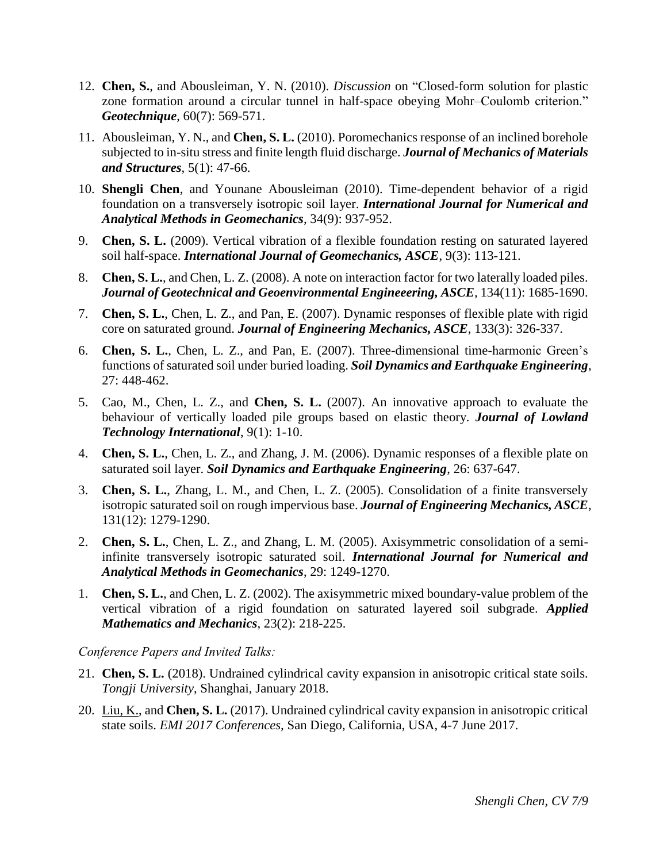- 12. **Chen, S.**, and Abousleiman, Y. N. (2010). *Discussion* on "Closed-form solution for plastic zone formation around a circular tunnel in half-space obeying Mohr–Coulomb criterion." *Geotechnique*, 60(7): 569-571.
- 11. Abousleiman, Y. N., and **Chen, S. L.** (2010). Poromechanics response of an inclined borehole subjected to in-situ stress and finite length fluid discharge. *Journal of Mechanics of Materials and Structures*, 5(1): 47-66.
- 10. **Shengli Chen**, and Younane Abousleiman (2010). Time-dependent behavior of a rigid foundation on a transversely isotropic soil layer. *International Journal for Numerical and Analytical Methods in Geomechanics*, 34(9): 937-952.
- 9. **Chen, S. L.** (2009). Vertical vibration of a flexible foundation resting on saturated layered soil half-space. *International Journal of Geomechanics, ASCE*, 9(3): 113-121.
- 8. **Chen, S. L.**, and Chen, L. Z. (2008). A note on interaction factor for two laterally loaded piles. *Journal of Geotechnical and Geoenvironmental Engineeering, ASCE*, 134(11): 1685-1690.
- 7. **Chen, S. L.**, Chen, L. Z., and Pan, E. (2007). Dynamic responses of flexible plate with rigid core on saturated ground. *Journal of Engineering Mechanics, ASCE*, 133(3): 326-337.
- 6. **Chen, S. L.**, Chen, L. Z., and Pan, E. (2007). Three-dimensional time-harmonic Green's functions of saturated soil under buried loading. *Soil Dynamics and Earthquake Engineering*, 27: 448-462.
- 5. Cao, M., Chen, L. Z., and **Chen, S. L.** (2007). An innovative approach to evaluate the behaviour of vertically loaded pile groups based on elastic theory. *Journal of Lowland Technology International*, 9(1): 1-10.
- 4. **Chen, S. L.**, Chen, L. Z., and Zhang, J. M. (2006). Dynamic responses of a flexible plate on saturated soil layer. *Soil Dynamics and Earthquake Engineering*, 26: 637-647.
- 3. **Chen, S. L.**, Zhang, L. M., and Chen, L. Z. (2005). Consolidation of a finite transversely isotropic saturated soil on rough impervious base. *Journal of Engineering Mechanics, ASCE*, 131(12): 1279-1290.
- 2. **Chen, S. L.**, Chen, L. Z., and Zhang, L. M. (2005). Axisymmetric consolidation of a semiinfinite transversely isotropic saturated soil. *International Journal for Numerical and Analytical Methods in Geomechanics*, 29: 1249-1270.
- 1. **Chen, S. L.**, and Chen, L. Z. (2002). The axisymmetric mixed boundary-value problem of the vertical vibration of a rigid foundation on saturated layered soil subgrade. *Applied Mathematics and Mechanics*, 23(2): 218-225.

*Conference Papers and Invited Talks:*

- 21. **Chen, S. L.** (2018). Undrained cylindrical cavity expansion in anisotropic critical state soils. *Tongji University*, Shanghai, January 2018.
- 20. Liu, K., and **Chen, S. L.** (2017). Undrained cylindrical cavity expansion in anisotropic critical state soils. *EMI 2017 Conferences,* San Diego, California, USA, 4-7 June 2017.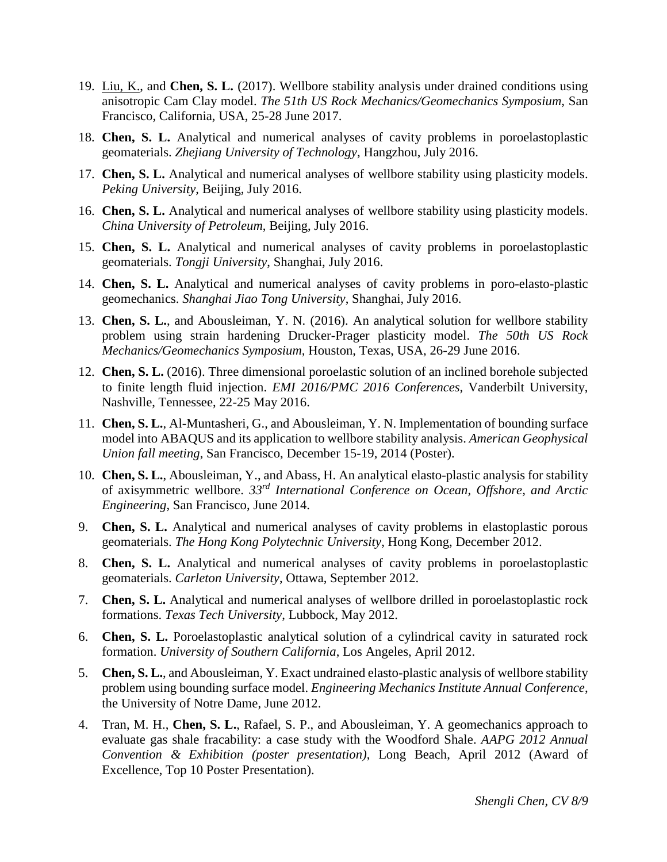- 19. Liu, K., and **Chen, S. L.** (2017). Wellbore stability analysis under drained conditions using anisotropic Cam Clay model. *The 51th US Rock Mechanics/Geomechanics Symposium,* San Francisco, California, USA, 25-28 June 2017.
- 18. **Chen, S. L.** Analytical and numerical analyses of cavity problems in poroelastoplastic geomaterials. *Zhejiang University of Technology*, Hangzhou, July 2016.
- 17. **Chen, S. L.** Analytical and numerical analyses of wellbore stability using plasticity models. *Peking University*, Beijing, July 2016.
- 16. **Chen, S. L.** Analytical and numerical analyses of wellbore stability using plasticity models. *China University of Petroleum*, Beijing, July 2016.
- 15. **Chen, S. L.** Analytical and numerical analyses of cavity problems in poroelastoplastic geomaterials. *Tongji University*, Shanghai, July 2016.
- 14. **Chen, S. L.** Analytical and numerical analyses of cavity problems in poro-elasto-plastic geomechanics. *Shanghai Jiao Tong University*, Shanghai, July 2016.
- 13. **Chen, S. L.**, and Abousleiman, Y. N. (2016). An analytical solution for wellbore stability problem using strain hardening Drucker-Prager plasticity model. *The 50th US Rock Mechanics/Geomechanics Symposium,* Houston, Texas, USA, 26-29 June 2016.
- 12. **Chen, S. L.** (2016). Three dimensional poroelastic solution of an inclined borehole subjected to finite length fluid injection. *EMI 2016/PMC 2016 Conferences,* Vanderbilt University, Nashville, Tennessee, 22-25 May 2016.
- 11. **Chen, S. L.**, Al-Muntasheri, G., and Abousleiman, Y. N. Implementation of bounding surface model into ABAQUS and its application to wellbore stability analysis. *American Geophysical Union fall meeting*, San Francisco, December 15-19, 2014 (Poster).
- 10. **Chen, S. L.**, Abousleiman, Y., and Abass, H. An analytical elasto-plastic analysis for stability of axisymmetric wellbore. *33rd International Conference on Ocean, Offshore, and Arctic Engineering*, San Francisco, June 2014.
- 9. **Chen, S. L.** Analytical and numerical analyses of cavity problems in elastoplastic porous geomaterials. *The Hong Kong Polytechnic University*, Hong Kong, December 2012.
- 8. **Chen, S. L.** Analytical and numerical analyses of cavity problems in poroelastoplastic geomaterials. *Carleton University*, Ottawa, September 2012.
- 7. **Chen, S. L.** Analytical and numerical analyses of wellbore drilled in poroelastoplastic rock formations. *Texas Tech University*, Lubbock, May 2012.
- 6. **Chen, S. L.** Poroelastoplastic analytical solution of a cylindrical cavity in saturated rock formation. *University of Southern California*, Los Angeles, April 2012.
- 5. **Chen, S. L.**, and Abousleiman, Y. Exact undrained elasto-plastic analysis of wellbore stability problem using bounding surface model. *Engineering Mechanics Institute Annual Conference*, the University of Notre Dame, June 2012.
- 4. Tran, M. H., **Chen, S. L.**, Rafael, S. P., and Abousleiman, Y. A geomechanics approach to evaluate gas shale fracability: a case study with the Woodford Shale. *AAPG 2012 Annual Convention & Exhibition (poster presentation)*, Long Beach, April 2012 (Award of Excellence, Top 10 Poster Presentation).